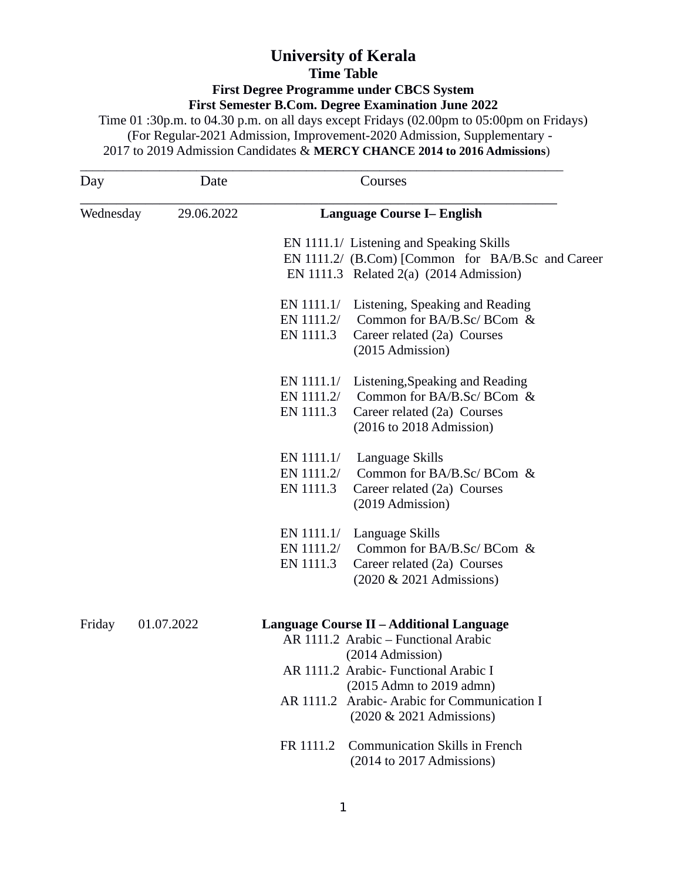## **University of Kerala Time Table First Degree Programme under CBCS System First Semester B.Com. Degree Examination June 2022**

Time 01 :30p.m. to 04.30 p.m. on all days except Fridays (02.00pm to 05:00pm on Fridays) (For Regular-2021 Admission, Improvement-2020 Admission, Supplementary - 2017 to 2019 Admission Candidates & **MERCY CHANCE 2014 to 2016 Admissions**)

| Day       | Date       | Courses                                                                                                                                                                              |  |
|-----------|------------|--------------------------------------------------------------------------------------------------------------------------------------------------------------------------------------|--|
| Wednesday | 29.06.2022 | <b>Language Course I– English</b>                                                                                                                                                    |  |
|           |            | EN 1111.1/ Listening and Speaking Skills<br>EN 1111.2/ (B.Com) [Common for BA/B.Sc and Career<br>EN 1111.3 Related $2(a)$ (2014 Admission)                                           |  |
|           |            | EN 1111.1/ Listening, Speaking and Reading<br>Common for BA/B.Sc/ BCom &<br>EN 1111.2/<br>EN 1111.3<br>Career related (2a) Courses<br>(2015 Admission)                               |  |
|           |            | EN 1111.1/<br>Listening, Speaking and Reading<br>Common for BA/B.Sc/ BCom &<br>EN 1111.2/<br>EN 1111.3<br>Career related (2a) Courses<br>$(2016 \text{ to } 2018 \text{ Admission})$ |  |
|           |            | EN 1111.1/<br>Language Skills<br>Common for BA/B.Sc/ BCom &<br>EN 1111.2/<br>EN 1111.3<br>Career related (2a) Courses<br>(2019 Admission)                                            |  |
|           |            | EN 1111.1/ Language Skills<br>Common for BA/B.Sc/ BCom &<br>EN 1111.2/<br>EN 1111.3<br>Career related (2a) Courses<br>(2020 & 2021 Admissions)                                       |  |
| Friday    | 01.07.2022 | <b>Language Course II - Additional Language</b><br>AR 1111.2 Arabic - Functional Arabic                                                                                              |  |
|           |            | (2014 Admission)<br>AR 1111.2 Arabic- Functional Arabic I                                                                                                                            |  |
|           |            | (2015 Admn to 2019 admn)<br>AR 1111.2 Arabic-Arabic for Communication I<br>(2020 & 2021 Admissions)                                                                                  |  |
|           |            | <b>Communication Skills in French</b><br>FR 1111.2<br>$(2014$ to 2017 Admissions)                                                                                                    |  |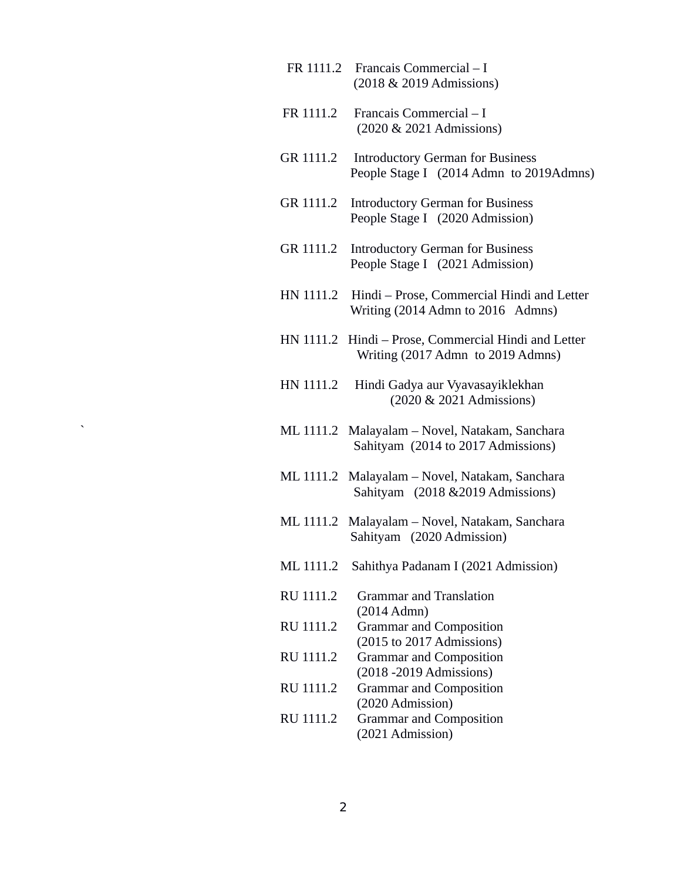- FR 1111.2 Francais Commercial I (2018 & 2019 Admissions)
- FR 1111.2 Francais Commercial I (2020 & 2021 Admissions)
- GR 1111.2 Introductory German for Business People Stage I (2014 Admn to 2019Admns)
- GR 1111.2 Introductory German for Business People Stage I (2020 Admission)
- GR 1111.2 Introductory German for Business People Stage I (2021 Admission)
- HN 1111.2 Hindi Prose, Commercial Hindi and Letter Writing (2014 Admn to 2016 Admns)
- HN 1111.2 Hindi Prose, Commercial Hindi and Letter Writing (2017 Admn to 2019 Admns)
- HN 1111.2 Hindi Gadya aur Vyavasayiklekhan (2020 & 2021 Admissions)
- ` ML 1111.2 Malayalam Novel, Natakam, Sanchara Sahityam (2014 to 2017 Admissions)
- ML 1111.2 Malayalam Novel, Natakam, Sanchara Sahityam (2018 &2019 Admissions)
- ML 1111.2 Malayalam Novel, Natakam, Sanchara Sahityam (2020 Admission)
- ML 1111.2 Sahithya Padanam I (2021 Admission)
- RU 1111.2 Grammar and Translation (2014 Admn) RU 1111.2 Grammar and Composition (2015 to 2017 Admissions) RU 1111.2 Grammar and Composition (2018 -2019 Admissions) RU 1111.2 Grammar and Composition (2020 Admission) RU 1111.2 Grammar and Composition (2021 Admission)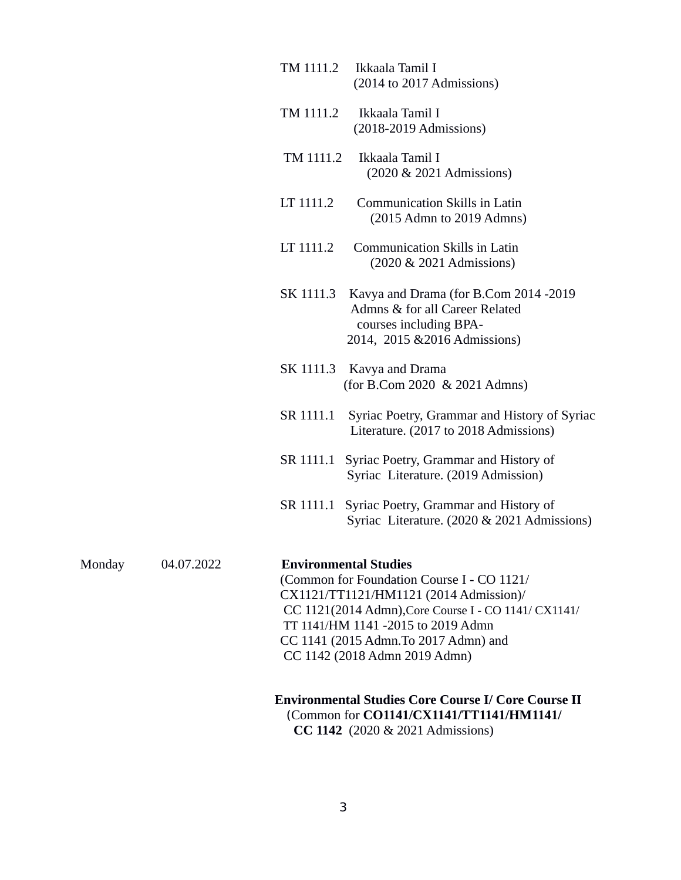|        |            | TM 1111.2                                                                                                                                                                                                                                                                                    | Ikkaala Tamil I<br>(2014 to 2017 Admissions)                                                                                                      |  |
|--------|------------|----------------------------------------------------------------------------------------------------------------------------------------------------------------------------------------------------------------------------------------------------------------------------------------------|---------------------------------------------------------------------------------------------------------------------------------------------------|--|
|        |            | TM 1111.2                                                                                                                                                                                                                                                                                    | Ikkaala Tamil I<br>$(2018-2019)$ Admissions)                                                                                                      |  |
|        |            | TM 1111.2                                                                                                                                                                                                                                                                                    | Ikkaala Tamil I<br>(2020 & 2021 Admissions)                                                                                                       |  |
|        |            | LT 1111.2                                                                                                                                                                                                                                                                                    | <b>Communication Skills in Latin</b><br>$(2015$ Admn to $2019$ Admns)                                                                             |  |
|        |            | LT 1111.2                                                                                                                                                                                                                                                                                    | <b>Communication Skills in Latin</b><br>(2020 & 2021 Admissions)                                                                                  |  |
|        |            | SK 1111.3                                                                                                                                                                                                                                                                                    | Kavya and Drama (for B.Com 2014 -2019<br>Admns & for all Career Related<br>courses including BPA-<br>2014, 2015 & 2016 Admissions)                |  |
|        |            | SK 1111.3                                                                                                                                                                                                                                                                                    | Kavya and Drama<br>(for B.Com 2020 & 2021 Admns)                                                                                                  |  |
|        |            | SR 1111.1                                                                                                                                                                                                                                                                                    | Syriac Poetry, Grammar and History of Syriac<br>Literature. (2017 to 2018 Admissions)                                                             |  |
|        |            |                                                                                                                                                                                                                                                                                              | SR 1111.1 Syriac Poetry, Grammar and History of<br>Syriac Literature. (2019 Admission)                                                            |  |
|        |            |                                                                                                                                                                                                                                                                                              | SR 1111.1 Syriac Poetry, Grammar and History of<br>Syriac Literature. (2020 & 2021 Admissions)                                                    |  |
| Monday | 04.07.2022 | <b>Environmental Studies</b><br>(Common for Foundation Course I - CO 1121/<br>CX1121/TT1121/HM1121 (2014 Admission)/<br>CC 1121(2014 Admn), Core Course I - CO 1141/ CX1141/<br>TT 1141/HM 1141 -2015 to 2019 Admn<br>CC 1141 (2015 Admn. To 2017 Admn) and<br>CC 1142 (2018 Admn 2019 Admn) |                                                                                                                                                   |  |
|        |            |                                                                                                                                                                                                                                                                                              | <b>Environmental Studies Core Course I/ Core Course II</b><br>(Common for CO1141/CX1141/TT1141/HM1141/<br><b>CC 1142</b> (2020 & 2021 Admissions) |  |

3